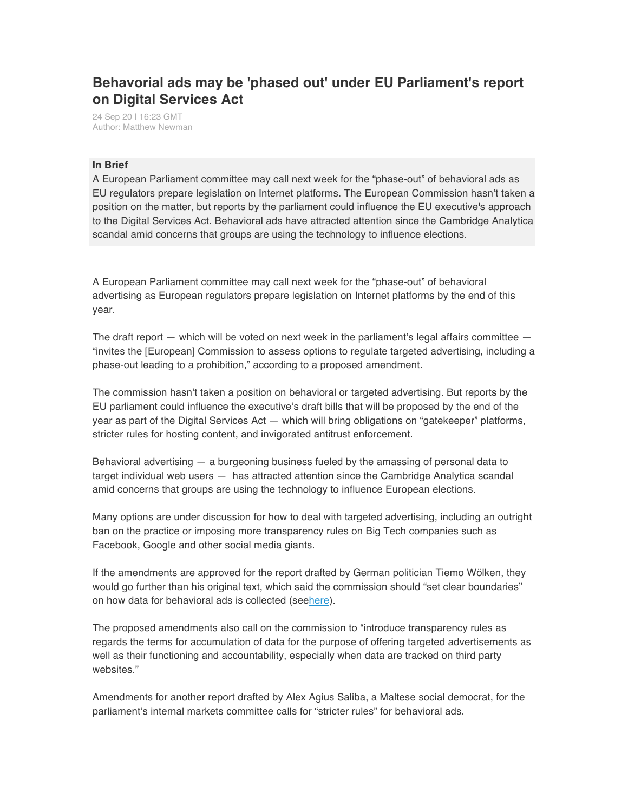## **Behavorial ads may be 'phased out' under EU Parliament's report on Digital Services Act**

24 Sep 20 | 16:23 GMT Author: Matthew Newman

## **In Brief**

A European Parliament committee may call next week for the "phase-out" of behavioral ads as EU regulators prepare legislation on Internet platforms. The European Commission hasn't taken a position on the matter, but reports by the parliament could influence the EU executive's approach to the Digital Services Act. Behavioral ads have attracted attention since the Cambridge Analytica scandal amid concerns that groups are using the technology to influence elections.

A European Parliament committee may call next week for the "phase-out" of behavioral advertising as European regulators prepare legislation on Internet platforms by the end of this year.

The draft report  $-$  which will be voted on next week in the parliament's legal affairs committee  $-$ "invites the [European] Commission to assess options to regulate targeted advertising, including a phase-out leading to a prohibition," according to a proposed amendment.

The commission hasn't taken a position on behavioral or targeted advertising. But reports by the EU parliament could influence the executive's draft bills that will be proposed by the end of the year as part of the Digital Services Act — which will bring obligations on "gatekeeper" platforms, stricter rules for hosting content, and invigorated antitrust enforcement.

Behavioral advertising — a burgeoning business fueled by the amassing of personal data to target individual web users — has attracted attention since the Cambridge Analytica scandal amid concerns that groups are using the technology to influence European elections.

Many options are under discussion for how to deal with targeted advertising, including an outright ban on the practice or imposing more transparency rules on Big Tech companies such as Facebook, Google and other social media giants.

If the amendments are approved for the report drafted by German politician Tiemo Wölken, they would go further than his original text, which said the commission should "set clear boundaries" on how data for behavioral ads is collected (seehere).

The proposed amendments also call on the commission to "introduce transparency rules as regards the terms for accumulation of data for the purpose of offering targeted advertisements as well as their functioning and accountability, especially when data are tracked on third party websites."

Amendments for another report drafted by Alex Agius Saliba, a Maltese social democrat, for the parliament's internal markets committee calls for "stricter rules" for behavioral ads.